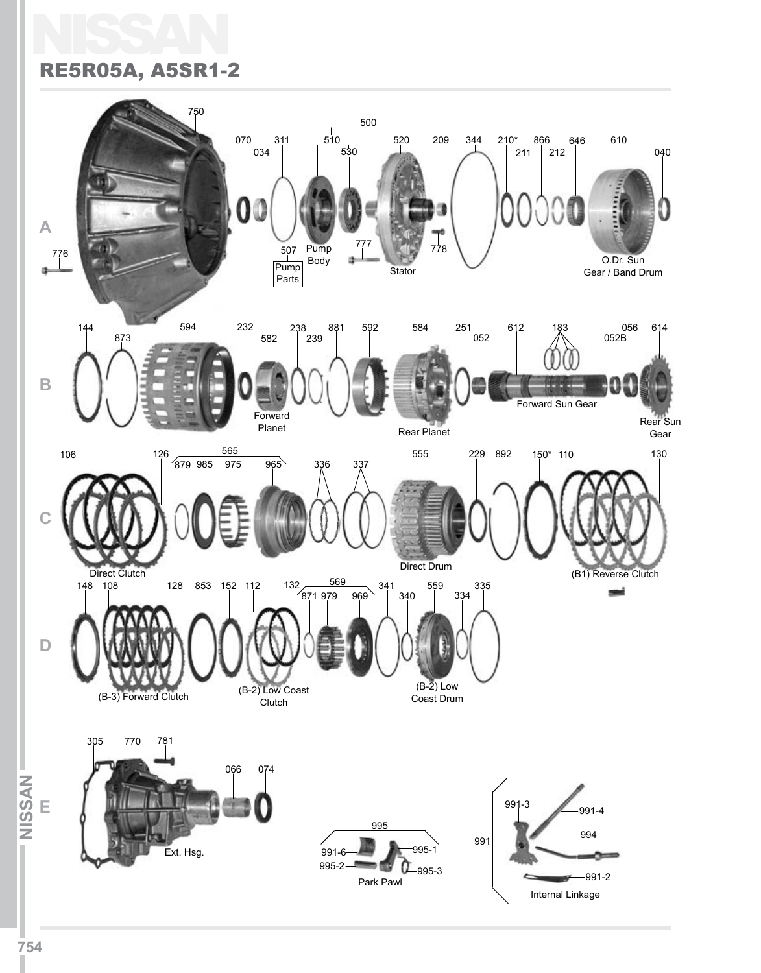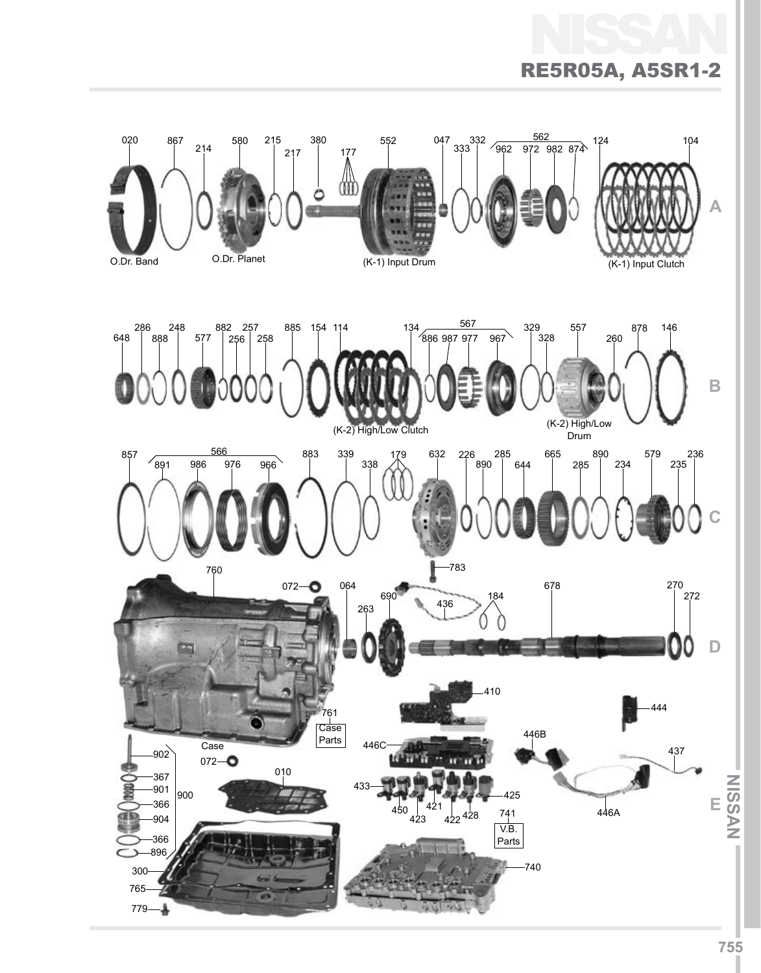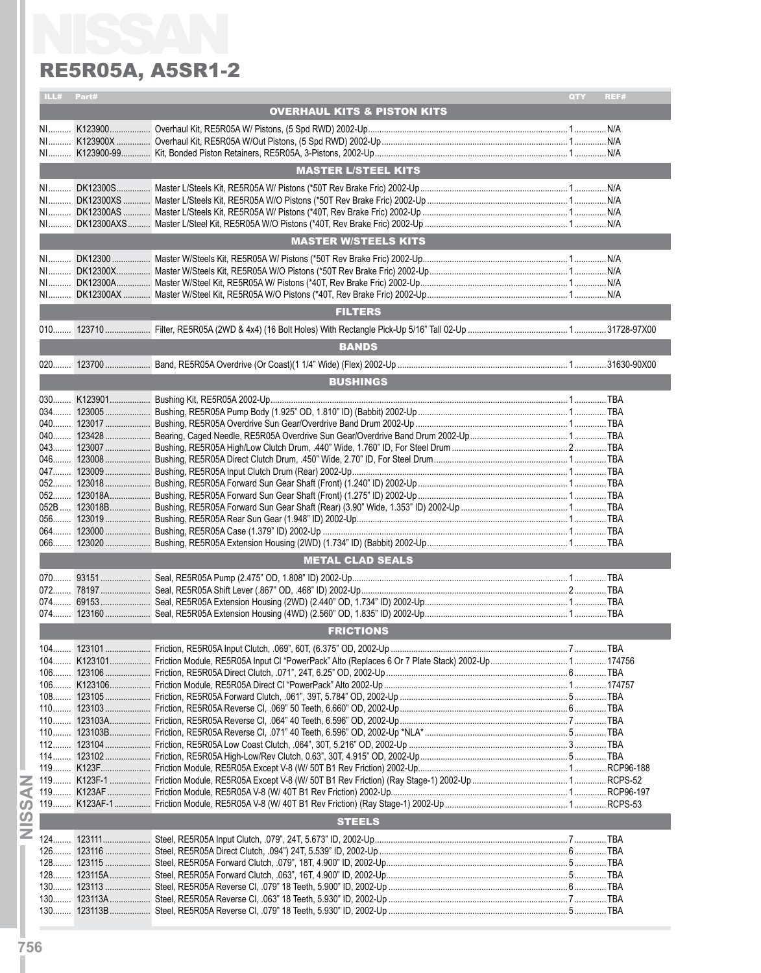#### RE5R05A, A5SR1-2

|                |            | <b>RE5R05A, A5SR1-2</b>                |             |
|----------------|------------|----------------------------------------|-------------|
|                | ILL# Part# |                                        | QTY<br>REF# |
|                |            | <b>OVERHAUL KITS &amp; PISTON KITS</b> |             |
|                |            |                                        |             |
|                |            |                                        |             |
|                |            |                                        |             |
|                |            | <b>MASTER L/STEEL KITS</b>             |             |
|                |            |                                        |             |
|                |            |                                        |             |
|                |            |                                        |             |
|                |            |                                        |             |
|                |            | <b>MASTER W/STEELS KITS</b>            |             |
|                |            |                                        |             |
|                |            |                                        |             |
|                |            |                                        |             |
|                |            | <b>FILTERS</b>                         |             |
|                |            |                                        |             |
|                |            | <b>BANDS</b>                           |             |
|                |            |                                        |             |
|                |            | <b>BUSHINGS</b>                        |             |
|                |            |                                        |             |
|                |            |                                        |             |
|                |            |                                        |             |
|                |            |                                        |             |
|                |            |                                        |             |
|                |            |                                        |             |
|                |            |                                        |             |
|                |            |                                        |             |
|                |            |                                        |             |
|                |            |                                        |             |
| $066$          |            |                                        |             |
|                |            | <b>METAL CLAD SEALS</b>                |             |
|                |            |                                        |             |
|                |            |                                        |             |
|                |            |                                        |             |
|                |            |                                        |             |
|                |            | <b>FRICTIONS</b>                       |             |
|                |            |                                        |             |
|                |            |                                        |             |
|                |            |                                        |             |
|                |            |                                        |             |
|                |            |                                        |             |
|                |            |                                        |             |
|                |            |                                        |             |
|                |            |                                        |             |
|                |            |                                        |             |
|                |            |                                        |             |
|                |            |                                        |             |
|                |            |                                        |             |
|                |            | <b>STEELS</b>                          |             |
|                |            |                                        |             |
| $126$<br>$128$ |            |                                        |             |
|                |            |                                        |             |
|                |            |                                        |             |
| $130$          |            |                                        |             |
| $130$          |            |                                        |             |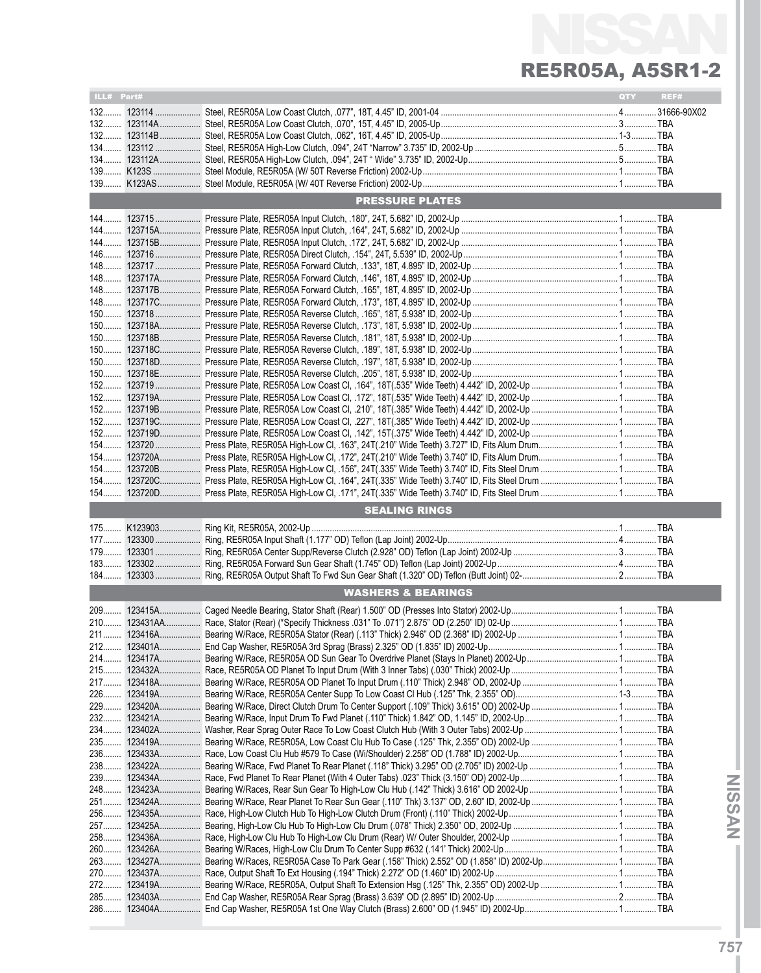| ILL# Part# |                               | QTY | REF# |
|------------|-------------------------------|-----|------|
|            |                               |     |      |
|            |                               |     |      |
|            |                               |     |      |
|            |                               |     |      |
|            |                               |     |      |
|            |                               |     |      |
|            |                               |     |      |
|            |                               |     |      |
|            |                               |     |      |
|            | <b>PRESSURE PLATES</b>        |     |      |
|            |                               |     |      |
|            |                               |     |      |
|            |                               |     |      |
|            |                               |     |      |
|            |                               |     |      |
|            |                               |     |      |
|            |                               |     |      |
|            |                               |     |      |
|            |                               |     |      |
| $150$      |                               |     |      |
| $150$      |                               |     |      |
|            |                               |     |      |
| 150        |                               |     |      |
|            |                               |     |      |
| 150        |                               |     |      |
| $152$      |                               |     |      |
|            |                               |     |      |
|            |                               |     |      |
| $152$      |                               |     |      |
|            |                               |     |      |
|            |                               |     |      |
|            |                               |     |      |
|            |                               |     |      |
| $154$      |                               |     |      |
|            |                               |     |      |
|            |                               |     |      |
|            | <b>SEALING RINGS</b>          |     |      |
|            |                               |     |      |
|            |                               |     |      |
|            |                               |     |      |
|            |                               |     |      |
|            |                               |     |      |
| $184$      |                               |     |      |
|            |                               |     |      |
|            | <b>WASHERS &amp; BEARINGS</b> |     |      |
|            |                               |     |      |
|            |                               |     |      |
|            |                               |     |      |
|            |                               |     |      |
|            |                               |     |      |
|            |                               |     |      |
|            |                               |     |      |
|            |                               |     |      |
|            |                               |     |      |
|            |                               |     |      |
|            |                               |     |      |
|            |                               |     |      |
|            |                               |     |      |
|            |                               |     |      |
|            |                               |     |      |
|            |                               |     |      |
|            |                               |     |      |
|            |                               |     |      |
|            |                               |     |      |
|            |                               |     |      |
|            |                               |     |      |
|            |                               |     |      |
|            |                               |     |      |
|            |                               |     |      |
|            |                               |     |      |
| 272        |                               |     |      |
|            |                               |     |      |
|            |                               |     |      |

**INISSANI**

**NYSSIN**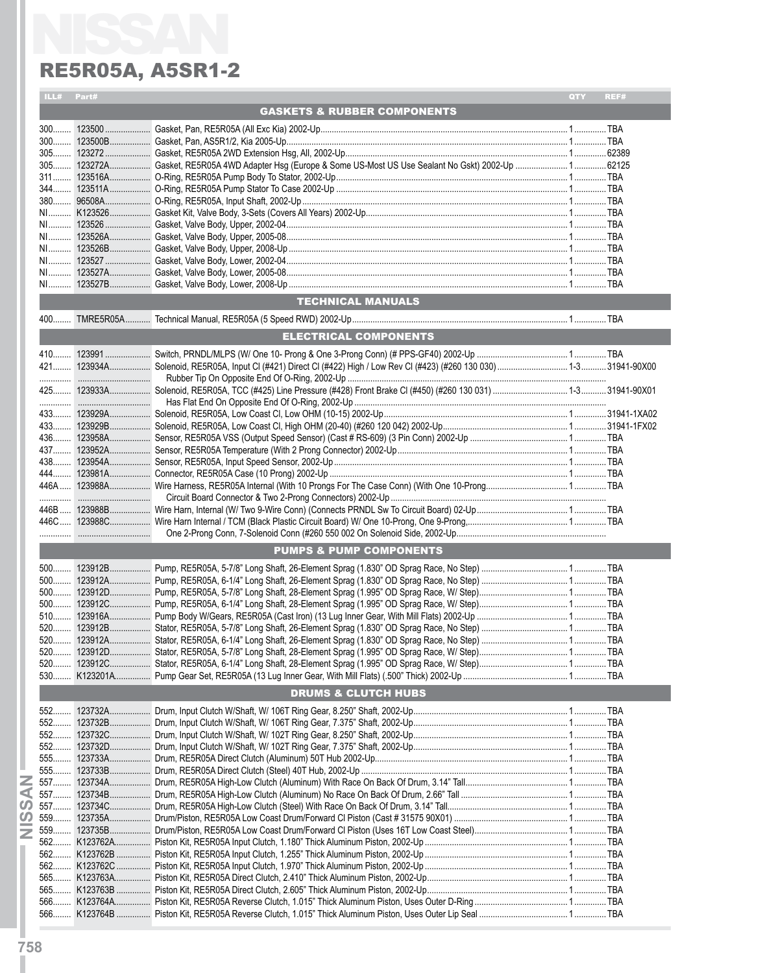#### RE5R05A, A5SR1-2

|     | ILL# Part# |                                        | QTY | REF# |
|-----|------------|----------------------------------------|-----|------|
|     |            | <b>GASKETS &amp; RUBBER COMPONENTS</b> |     |      |
|     |            |                                        |     |      |
|     |            |                                        |     |      |
|     |            |                                        |     |      |
|     |            |                                        |     |      |
|     |            |                                        |     |      |
|     |            |                                        |     |      |
|     |            |                                        |     |      |
|     |            |                                        |     |      |
|     |            |                                        |     |      |
|     |            |                                        |     |      |
|     |            |                                        |     |      |
|     |            |                                        |     |      |
|     |            |                                        |     |      |
|     |            |                                        |     |      |
|     |            | <b>TECHNICAL MANUALS</b>               |     |      |
|     |            |                                        |     |      |
|     |            | <b>ELECTRICAL COMPONENTS</b>           |     |      |
|     |            |                                        |     |      |
|     |            |                                        |     |      |
|     |            |                                        |     |      |
|     |            |                                        |     |      |
|     |            |                                        |     |      |
|     |            |                                        |     |      |
|     |            |                                        |     |      |
|     |            |                                        |     |      |
|     |            |                                        |     |      |
|     |            |                                        |     |      |
|     |            |                                        |     |      |
|     |            |                                        |     |      |
|     |            |                                        |     |      |
|     |            |                                        |     |      |
|     |            |                                        |     |      |
|     |            | <b>PUMPS &amp; PUMP COMPONENTS</b>     |     |      |
|     |            |                                        |     |      |
|     |            |                                        |     |      |
|     |            |                                        |     |      |
|     |            |                                        |     |      |
|     |            |                                        |     |      |
|     |            |                                        |     |      |
|     |            |                                        |     |      |
|     |            |                                        |     |      |
|     |            |                                        |     |      |
|     |            |                                        |     |      |
|     |            | <b>DRUMS &amp; CLUTCH HUBS</b>         |     |      |
|     |            |                                        |     |      |
|     |            |                                        |     |      |
|     |            |                                        |     |      |
|     |            |                                        |     |      |
|     |            |                                        |     |      |
|     |            |                                        |     |      |
|     |            |                                        |     |      |
|     |            |                                        |     |      |
|     |            |                                        |     |      |
|     |            |                                        |     |      |
|     |            |                                        |     |      |
|     |            |                                        |     |      |
|     |            |                                        |     |      |
|     |            |                                        |     |      |
|     |            |                                        |     |      |
|     |            |                                        |     |      |
|     |            |                                        |     |      |
|     |            |                                        |     |      |
| 566 |            |                                        |     |      |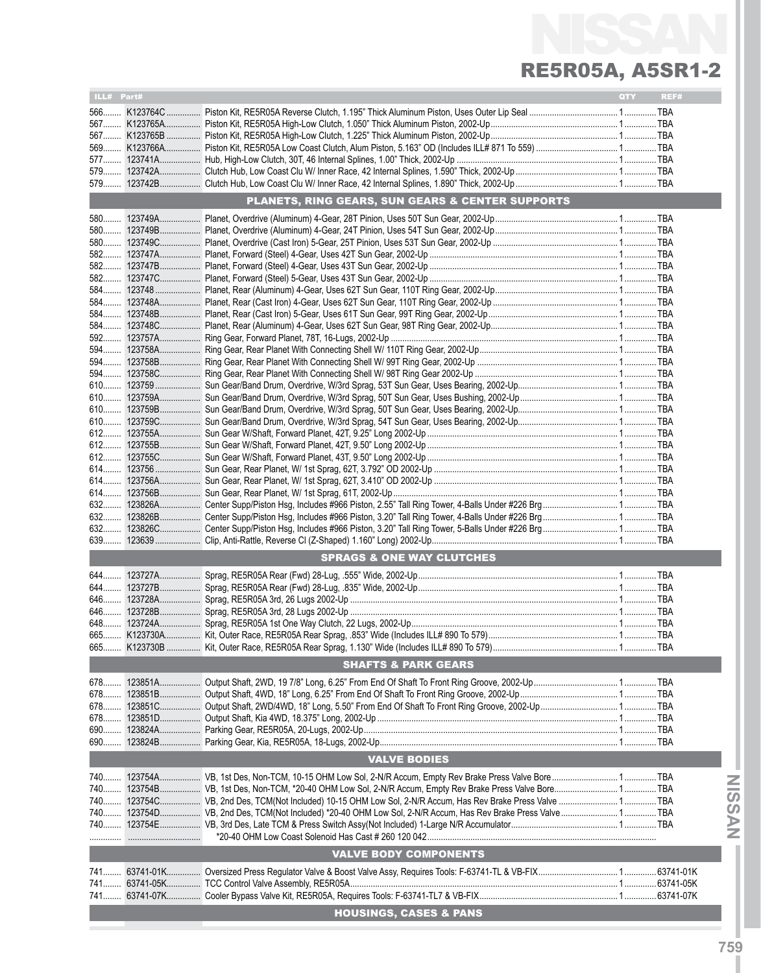| ILL# Part# |                                                  | <b>QTY</b> | REF# |
|------------|--------------------------------------------------|------------|------|
|            |                                                  |            |      |
|            |                                                  |            |      |
|            |                                                  |            |      |
|            |                                                  |            |      |
|            |                                                  |            |      |
|            |                                                  |            |      |
|            |                                                  |            |      |
|            |                                                  |            |      |
|            | PLANETS, RING GEARS, SUN GEARS & CENTER SUPPORTS |            |      |
|            |                                                  |            |      |
|            |                                                  |            |      |
|            |                                                  |            |      |
|            |                                                  |            |      |
|            |                                                  |            |      |
|            |                                                  |            |      |
|            |                                                  |            |      |
|            |                                                  |            |      |
|            |                                                  |            |      |
|            |                                                  |            |      |
|            |                                                  |            |      |
|            |                                                  |            |      |
|            |                                                  |            |      |
|            |                                                  |            |      |
|            |                                                  |            |      |
|            |                                                  |            |      |
|            |                                                  |            |      |
|            |                                                  |            |      |
|            |                                                  |            |      |
|            |                                                  |            |      |
|            |                                                  |            |      |
|            |                                                  |            |      |
|            |                                                  |            |      |
|            |                                                  |            |      |
|            |                                                  |            |      |
| 632        |                                                  |            |      |
|            |                                                  |            |      |
|            |                                                  |            |      |
| 639        |                                                  |            |      |
|            | <b>SPRAGS &amp; ONE WAY CLUTCHES</b>             |            |      |
|            |                                                  |            |      |
|            |                                                  |            |      |
|            |                                                  |            |      |
|            |                                                  |            |      |
|            |                                                  |            |      |
|            |                                                  |            |      |
|            |                                                  |            |      |
|            |                                                  |            |      |
|            | <b>SHAFTS &amp; PARK GEARS</b>                   |            |      |
|            |                                                  |            |      |
|            |                                                  |            |      |
| 678        |                                                  |            |      |
|            |                                                  |            |      |
|            |                                                  |            |      |
|            |                                                  |            |      |
|            | <b>VALVE BODIES</b>                              |            |      |
|            |                                                  |            |      |
|            |                                                  |            |      |
|            |                                                  |            |      |
|            |                                                  |            |      |
|            |                                                  |            |      |
|            |                                                  |            |      |
|            |                                                  |            |      |
|            | <b>VALVE BODY COMPONENTS</b>                     |            |      |
|            |                                                  |            |      |
|            |                                                  |            |      |
|            |                                                  |            |      |
|            |                                                  |            |      |
|            | <b>HOUSINGS, CASES &amp; PANS</b>                |            |      |

MASSIN-**INISSANI**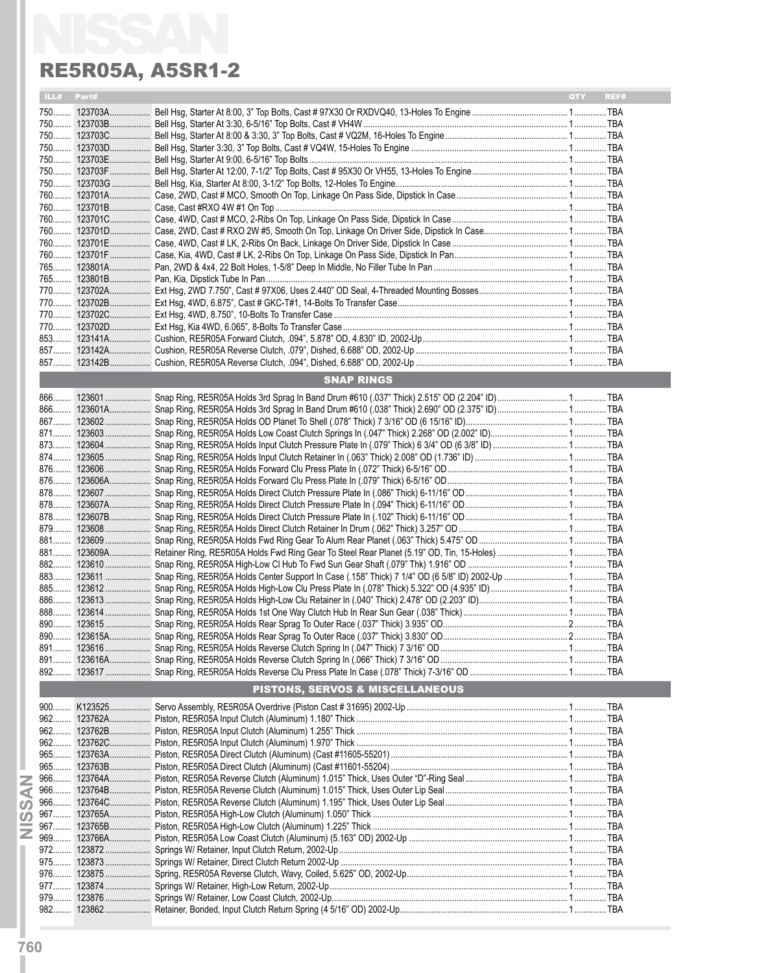#### RE5R05A, A5SR1-2

|       |            | <b>RE5R05A, A5SR1-2</b>         |             |
|-------|------------|---------------------------------|-------------|
|       | ILL# Part# |                                 | REF#<br>QTY |
|       |            |                                 |             |
|       |            |                                 |             |
|       |            |                                 |             |
|       |            |                                 |             |
|       |            |                                 |             |
|       |            |                                 |             |
|       |            |                                 |             |
|       |            |                                 |             |
|       |            |                                 |             |
|       |            |                                 |             |
|       |            |                                 |             |
|       |            |                                 |             |
|       |            |                                 |             |
|       |            |                                 |             |
|       |            |                                 |             |
|       |            |                                 |             |
|       |            |                                 |             |
|       |            |                                 |             |
|       |            |                                 |             |
|       |            |                                 |             |
|       |            | <b>SNAP RINGS</b>               |             |
|       |            |                                 |             |
|       |            |                                 |             |
|       |            |                                 |             |
|       |            |                                 |             |
|       |            |                                 |             |
|       |            |                                 |             |
|       |            |                                 |             |
|       |            |                                 |             |
|       |            |                                 |             |
|       |            |                                 |             |
|       |            |                                 |             |
|       |            |                                 |             |
|       |            |                                 |             |
|       |            |                                 |             |
|       |            |                                 |             |
| 885   |            |                                 |             |
| $886$ |            |                                 |             |
| 888   |            |                                 |             |
| 890   |            |                                 |             |
| $890$ |            |                                 |             |
| $891$ |            |                                 |             |
| 891   |            |                                 |             |
| 892   |            |                                 |             |
|       |            | PISTONS, SERVOS & MISCELLANEOUS |             |
|       |            |                                 |             |
|       |            |                                 |             |
|       |            |                                 |             |
|       |            |                                 |             |
|       |            |                                 |             |
| $965$ |            |                                 |             |
|       |            |                                 |             |
| 966   |            |                                 |             |
|       |            |                                 |             |
|       |            |                                 |             |
|       |            |                                 |             |
|       |            |                                 |             |
| 975   |            |                                 |             |
|       |            |                                 |             |
| $977$ |            |                                 |             |
|       |            |                                 |             |
|       |            |                                 |             |